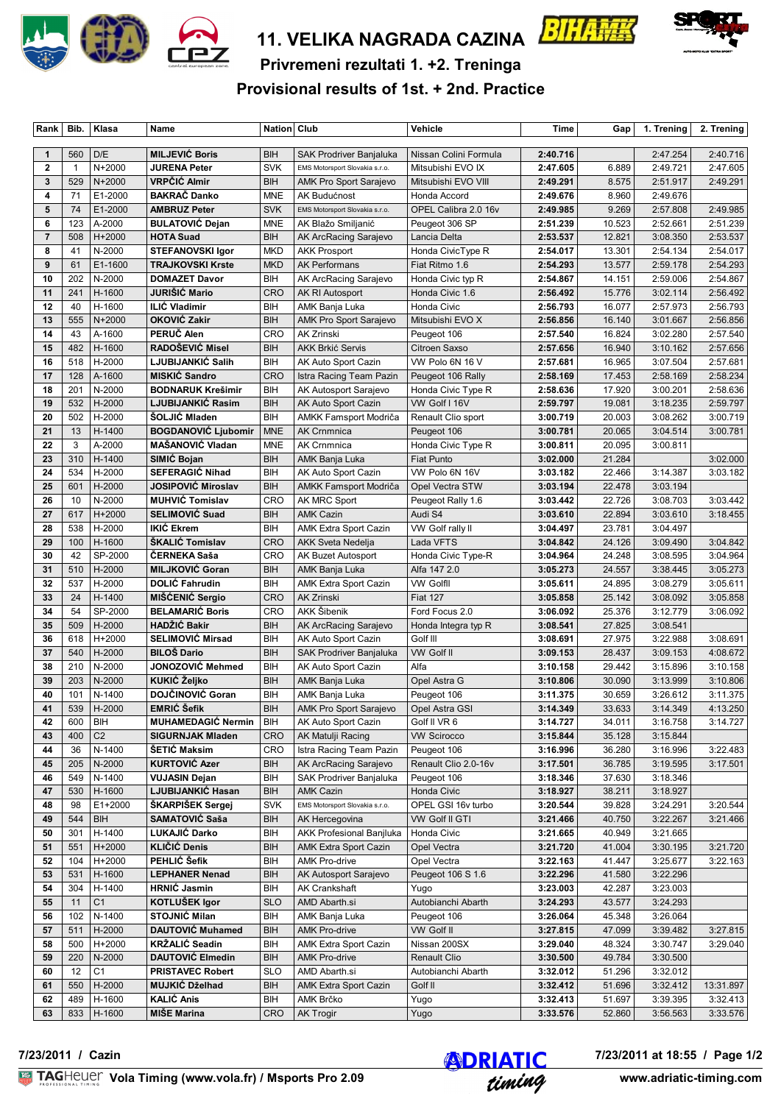

# **11. VELIKA NAGRADA CAZINA**





**Privremeni rezultati 1. +2. Treninga**

**Provisional results of 1st. + 2nd. Practice**

| Rank                    | Bib.           | Klasa            | Name                                 | Nation Club       |                                              | Vehicle                             | Time                 | Gap              | 1. Trening           | 2. Trening           |
|-------------------------|----------------|------------------|--------------------------------------|-------------------|----------------------------------------------|-------------------------------------|----------------------|------------------|----------------------|----------------------|
|                         |                | D/E              | <b>MILJEVIĆ Boris</b>                | BIH               |                                              |                                     |                      |                  |                      | 2:40.716             |
| $\mathbf{1}$            | 560            |                  |                                      |                   | SAK Prodriver Banjaluka                      | Nissan Colini Formula               | 2:40.716             |                  | 2:47.254             |                      |
| $\mathbf{2}$            | $\overline{1}$ | N+2000           | <b>JURENA Peter</b>                  | <b>SVK</b>        | EMS Motorsport Slovakia s.r.o.               | Mitsubishi EVO IX                   | 2:47.605             | 6.889            | 2:49.721             | 2:47.605             |
| 3                       | 529            | N+2000           | VRPČIĆ Almir                         | BIH               | AMK Pro Sport Sarajevo                       | Mitsubishi EVO VIII                 | 2:49.291             | 8.575            | 2:51.917             | 2:49.291             |
| $\overline{\mathbf{4}}$ | 71             | E1-2000          | <b>BAKRAČ Danko</b>                  | <b>MNE</b>        | AK Budućnost                                 | Honda Accord                        | 2:49.676             | 8.960            | 2:49.676             |                      |
| 5                       | 74             | E1-2000          | <b>AMBRUZ Peter</b>                  | <b>SVK</b>        | EMS Motorsport Slovakia s.r.o.               | OPEL Calibra 2.0 16v                | 2:49.985             | 9.269            | 2:57.808             | 2:49.985             |
| 6                       | 123            | A-2000           | <b>BULATOVIĆ Dejan</b>               | <b>MNE</b>        | AK Blažo Smiljanić                           | Peugeot 306 SP                      | 2:51.239             | 10.523           | 2:52.661             | 2:51.239             |
| $\overline{7}$          | 508            | H+2000           | <b>HOTA Suad</b>                     | <b>BIH</b>        | AK ArcRacing Sarajevo                        | Lancia Delta                        | 2:53.537             | 12.821           | 3:08.350             | 2:53.537             |
| 8                       | 41             | N-2000           | <b>STEFANOVSKI Igor</b>              | <b>MKD</b>        | <b>AKK Prosport</b>                          | Honda CivicType R                   | 2:54.017             | 13.301           | 2:54.134             | 2:54.017             |
| 9                       | 61             | E1-1600          | <b>TRAJKOVSKI Krste</b>              | <b>MKD</b>        | <b>AK Performans</b>                         | Fiat Ritmo 1.6                      | 2:54.293             | 13.577           | 2:59.178<br>2:59.006 | 2:54.293<br>2:54.867 |
| 10                      | 202            | N-2000           | <b>DOMAZET Davor</b>                 | BIH               | AK ArcRacing Sarajevo                        | Honda Civic typ R                   | 2:54.867             | 14.151           |                      | 2:56.492             |
| 11                      | 241            | H-1600           | <b>JURIŜIĆ Mario</b>                 | <b>CRO</b>        | AK RI Autosport                              | Honda Civic 1.6                     | 2:56.492             | 15.776           | 3:02.114             |                      |
| 12                      | 40             | H-1600           | <b>ILIĆ Vladimir</b><br>OKOVIĆ Zakir | BIH               | AMK Banja Luka                               | Honda Civic                         | 2:56.793             | 16.077           | 2:57.973             | 2:56.793             |
| 13                      | 555            | $N+2000$         | PERUČ Alen                           | BIH               | <b>AMK Pro Sport Sarajevo</b>                | Mitsubishi EVO X                    | 2:56.856             | 16.140           | 3:01.667             | 2:56.856             |
| 14<br>15                | 43<br>482      | A-1600<br>H-1600 | RADOŠEVIĆ Misel                      | <b>CRO</b><br>BIH | <b>AK Zrinski</b>                            | Peugeot 106                         | 2:57.540             | 16.824<br>16.940 | 3:02.280             | 2:57.540             |
| 16                      | 518            | H-2000           | LJUBIJANKIĆ Salih                    | BIH               | <b>AKK Brkić Servis</b>                      | Citroen Saxso                       | 2:57.656             | 16.965           | 3:10.162             | 2:57.656<br>2:57.681 |
| 17                      | 128            | A-1600           | <b>MISKIC Sandro</b>                 | <b>CRO</b>        | AK Auto Sport Cazin                          | VW Polo 6N 16 V                     | 2:57.681<br>2:58.169 | 17.453           | 3:07.504<br>2:58.169 | 2:58.234             |
| 18                      | 201            | N-2000           | <b>BODNARUK Krešimir</b>             | BIH               | Istra Racing Team Pazin                      | Peugeot 106 Rally                   |                      | 17.920           |                      | 2:58.636             |
| 19                      | 532            |                  | LJUBIJANKIĆ Rasim                    | BIH               | AK Autosport Sarajevo                        | Honda Civic Type R<br>VW Golf I 16V | 2:58.636             |                  | 3:00.201<br>3:18.235 | 2:59.797             |
| 20                      | 502            | H-2000<br>H-2000 | ŠOLJIĆ Mladen                        | BIH               | AK Auto Sport Cazin<br>AMKK Famsport Modriča | Renault Clio sport                  | 2:59.797<br>3:00.719 | 19.081<br>20.003 | 3:08.262             | 3:00.719             |
| 21                      | 13             | H-1400           | <b>BOGDANOVIĆ Ljubomir</b>           | <b>MNE</b>        | <b>AK Crnmnica</b>                           | Peugeot 106                         | 3:00.781             | 20.065           | 3:04.514             | 3:00.781             |
| 22                      | 3              | A-2000           | <b>MAŠANOVIĆ Vladan</b>              | <b>MNE</b>        | <b>AK Crnmnica</b>                           | Honda Civic Type R                  | 3:00.811             | 20.095           | 3:00.811             |                      |
| 23                      | 310            | H-1400           | SIMIĆ Bojan                          | BIH               | AMK Banja Luka                               | <b>Fiat Punto</b>                   | 3:02.000             | 21.284           |                      | 3:02.000             |
| 24                      | 534            | H-2000           | <b>SEFERAGIĆ Nihad</b>               | BIH               | AK Auto Sport Cazin                          | VW Polo 6N 16V                      | 3:03.182             | 22.466           | 3:14.387             | 3:03.182             |
| 25                      | 601            | H-2000           | <b>JOSIPOVIĆ Miroslav</b>            | <b>BIH</b>        | AMKK Famsport Modriča                        | Opel Vectra STW                     | 3:03.194             | 22.478           | 3:03.194             |                      |
| 26                      | 10             | N-2000           | <b>MUHVIC Tomislav</b>               | <b>CRO</b>        | AK MRC Sport                                 | Peugeot Rally 1.6                   | 3:03.442             | 22.726           | 3:08.703             | 3:03.442             |
| 27                      | 617            | H+2000           | <b>SELIMOVIĆ Suad</b>                | <b>BIH</b>        | <b>AMK Cazin</b>                             | Audi S4                             | 3:03.610             | 22.894           | 3:03.610             | 3:18.455             |
| 28                      | 538            | H-2000           | <b>IKIĆ Ekrem</b>                    | BIH               | <b>AMK Extra Sport Cazin</b>                 | VW Golf rally II                    | 3:04.497             | 23.781           | 3:04.497             |                      |
| 29                      | 100            | H-1600           | ŠKALIĆ Tomislav                      | <b>CRO</b>        | <b>AKK Sveta Nedelja</b>                     | Lada VFTS                           | 3:04.842             | 24.126           | 3:09.490             | 3:04.842             |
| 30                      | 42             | SP-2000          | <b>CERNEKA Saša</b>                  | <b>CRO</b>        | AK Buzet Autosport                           | Honda Civic Type-R                  | 3:04.964             | 24.248           | 3:08.595             | 3:04.964             |
| 31                      | 510            | H-2000           | <b>MILJKOVIĆ Goran</b>               | <b>BIH</b>        | AMK Banja Luka                               | Alfa 147 2.0                        | 3:05.273             | 24.557           | 3:38.445             | 3:05.273             |
| 32                      | 537            | H-2000           | <b>DOLIĆ Fahrudin</b>                | BIH               | <b>AMK Extra Sport Cazin</b>                 | <b>VW Golfll</b>                    | 3:05.611             | 24.895           | 3:08.279             | 3:05.611             |
| 33                      | 24             | H-1400           | MIŠĆENIĆ Sergio                      | <b>CRO</b>        | <b>AK Zrinski</b>                            | <b>Fiat 127</b>                     | 3:05.858             | 25.142           | 3:08.092             | 3:05.858             |
| 34                      | 54             | SP-2000          | <b>BELAMARIĆ Boris</b>               | <b>CRO</b>        | <b>AKK Šibenik</b>                           | Ford Focus 2.0                      | 3:06.092             | 25.376           | 3:12.779             | 3:06.092             |
| 35                      | 509            | H-2000           | HADŽIĆ Bakir                         | <b>BIH</b>        | AK ArcRacing Sarajevo                        | Honda Integra typ R                 | 3:08.541             | 27.825           | 3:08.541             |                      |
| 36                      | 618            | H+2000           | <b>SELIMOVIĆ Mirsad</b>              | BIH               | AK Auto Sport Cazin                          | Golf III                            | 3:08.691             | 27.975           | 3:22.988             | 3:08.691             |
| 37                      | 540            | H-2000           | <b>BILOŠ Dario</b>                   | <b>BIH</b>        | SAK Prodriver Banjaluka                      | VW Golf II                          | 3:09.153             | 28.437           | 3:09.153             | 4:08.672             |
| 38                      | 210            | N-2000           | JONOZOVIĆ Mehmed                     | BIH               | AK Auto Sport Cazin                          | Alfa                                | 3:10.158             | 29.442           | 3:15.896             | 3:10.158             |
| 39                      | 203            | N-2000           | KUKIĆ Željko                         | BIH               | AMK Banja Luka                               | Opel Astra G                        | 3:10.806             | 30.090           | 3:13.999             | 3:10.806             |
| 40                      | 101            | N-1400           | <b>DOJČINOVIĆ Goran</b>              | BIH               | AMK Banja Luka                               | Peugeot 106                         | 3:11.375             | 30.659           | 3:26.612             | 3:11.375             |
| 41                      | 539            | H-2000           | <b>EMRIĆ Šefik</b>                   | <b>BIH</b>        | <b>AMK Pro Sport Sarajevo</b>                | Opel Astra GSI                      | 3:14.349             | 33.633           | 3:14.349             | 4:13.250             |
| 42                      | 600            | BIH              | <b>MUHAMEDAGIĆ Nermin</b>            | BIH               | AK Auto Sport Cazin                          | Golf II VR 6                        | 3:14.727             | 34.011           | 3:16.758             | 3:14.727             |
| 43                      | 400            | C <sub>2</sub>   | <b>SIGURNJAK Mladen</b>              | <b>CRO</b>        | AK Matulji Racing                            | <b>VW Scirocco</b>                  | 3:15.844             | 35.128           | 3:15.844             |                      |
| 44                      | 36             | N-1400           | <b>ŠETIĆ Maksim</b>                  | <b>CRO</b>        | Istra Racing Team Pazin                      | Peugeot 106                         | 3:16.996             | 36.280           | 3:16.996             | 3:22.483             |
| 45                      | 205            | N-2000           | <b>KURTOVIĆ Azer</b>                 | BIH               | AK ArcRacing Sarajevo                        | Renault Clio 2.0-16v                | 3:17.501             | 36.785           | 3:19.595             | 3:17.501             |
| 46                      | 549            | N-1400           | VUJASIN Dejan                        | BIH               | SAK Prodriver Banjaluka                      | Peugeot 106                         | 3:18.346             | 37.630           | 3:18.346             |                      |
| 47                      | 530            | H-1600           | LJUBIJANKIĆ Hasan                    | BIH               | <b>AMK Cazin</b>                             | Honda Civic                         | 3:18.927             | 38.211           | 3:18.927             |                      |
| 48                      | 98             | E1+2000          | ŠKARPIŠEK Sergej                     | <b>SVK</b>        | EMS Motorsport Slovakia s.r.o.               | OPEL GSI 16v turbo                  | 3:20.544             | 39.828           | 3:24.291             | 3:20.544             |
| 49                      | 544            | BIH              | SAMATOVIĆ Saša                       | BIH               | AK Hercegovina                               | VW Golf II GTI                      | 3:21.466             | 40.750           | 3:22.267             | 3:21.466             |
| 50                      | 301            | H-1400           | LUKAJIĆ Darko                        | BIH               | AKK Profesional Banjluka                     | Honda Civic                         | 3:21.665             | 40.949           | 3:21.665             |                      |
| 51                      | 551            | H+2000           | <b>KLIČIĆ Denis</b>                  | BIH               | <b>AMK Extra Sport Cazin</b>                 | Opel Vectra                         | 3:21.720             | 41.004           | 3:30.195             | 3:21.720             |
| 52                      | 104            | H+2000           | PEHLIĆ Šefik                         | BIH               | AMK Pro-drive                                | Opel Vectra                         | 3:22.163             | 41.447           | 3:25.677             | 3:22.163             |
| 53                      | 531            | H-1600           | <b>LEPHANER Nenad</b>                | BIH               | AK Autosport Sarajevo                        | Peugeot 106 S 1.6                   | 3:22.296             | 41.580           | 3:22.296             |                      |
| 54                      | 304            | H-1400           | <b>HRNIC Jasmin</b>                  | BIH               | AK Crankshaft                                | Yugo                                | 3:23.003             | 42.287           | 3:23.003             |                      |
| 55                      | 11             | C <sub>1</sub>   | KOTLUŠEK Igor                        | <b>SLO</b>        | AMD Abarth.si                                | Autobianchi Abarth                  | 3:24.293             | 43.577           | 3:24.293             |                      |
| 56                      | 102            | N-1400           | <b>STOJNIĆ Milan</b>                 | BIH               | AMK Banja Luka                               | Peugeot 106                         | 3:26.064             | 45.348           | 3:26.064             |                      |
| 57                      | 511            | H-2000           | <b>DAUTOVIC Muhamed</b>              | BIH               | <b>AMK Pro-drive</b>                         | VW Golf II                          | 3:27.815             | 47.099           | 3:39.482             | 3:27.815             |
| 58                      | 500            | H+2000           | <b>KRŻALIĆ Seadin</b>                | BIH               | AMK Extra Sport Cazin                        | Nissan 200SX                        | 3:29.040             | 48.324           | 3:30.747             | 3:29.040             |
| 59                      | 220            | N-2000           | <b>DAUTOVIĆ Elmedin</b>              | BIH               | <b>AMK Pro-drive</b>                         | <b>Renault Clio</b>                 | 3:30.500             | 49.784           | 3:30.500             |                      |
| 60                      | 12             | C <sub>1</sub>   | <b>PRISTAVEC Robert</b>              | <b>SLO</b>        | AMD Abarth.si                                | Autobianchi Abarth                  | 3:32.012             | 51.296           | 3:32.012             |                      |
| 61                      | 550            | H-2000           | MUJKIĆ Dželhad                       | BIH               | AMK Extra Sport Cazin                        | Golf II                             | 3:32.412             | 51.696           | 3:32.412             | 13:31.897            |
| 62                      | 489            | H-1600           | <b>KALIĆ Anis</b>                    | BIH               | AMK Brčko                                    | Yugo                                | 3:32.413             | 51.697           | 3:39.395             | 3:32.413             |
| 63                      | 833            | H-1600           | <b>MIŠE Marina</b>                   | CRO               | <b>AK Trogir</b>                             | Yugo                                | 3:33.576             | 52.860           | 3:56.563             | 3:33.576             |